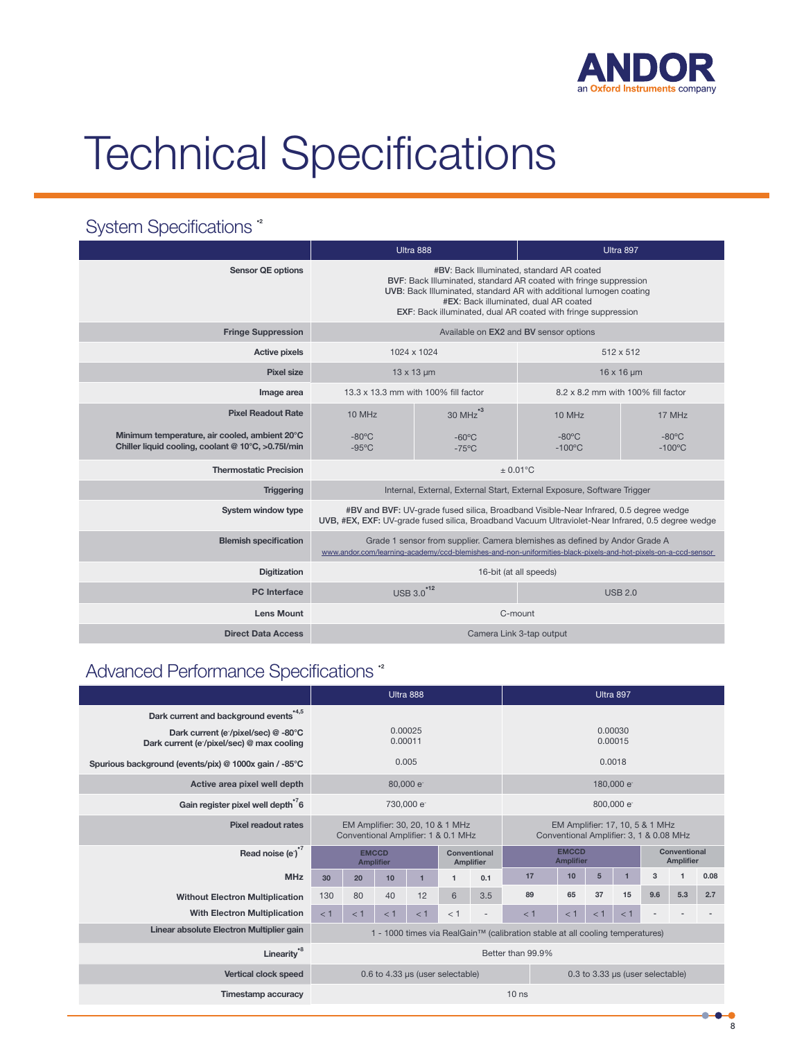

# Technical Specifications

# System Specifications  $\degree$

|                                                                                                     |                                                                                                                                                                                                                                                                                                | Ultra 888                                                               |                                     | Ultra 897                           |  |  |  |
|-----------------------------------------------------------------------------------------------------|------------------------------------------------------------------------------------------------------------------------------------------------------------------------------------------------------------------------------------------------------------------------------------------------|-------------------------------------------------------------------------|-------------------------------------|-------------------------------------|--|--|--|
| <b>Sensor QE options</b>                                                                            | #BV: Back Illuminated, standard AR coated<br>BVF: Back Illuminated, standard AR coated with fringe suppression<br>UVB: Back Illuminated, standard AR with additional lumogen coating<br>#EX: Back illuminated, dual AR coated<br>EXF: Back illuminated, dual AR coated with fringe suppression |                                                                         |                                     |                                     |  |  |  |
| <b>Fringe Suppression</b>                                                                           |                                                                                                                                                                                                                                                                                                | Available on EX2 and BV sensor options                                  |                                     |                                     |  |  |  |
| <b>Active pixels</b>                                                                                |                                                                                                                                                                                                                                                                                                | 1024 x 1024                                                             | 512 x 512                           |                                     |  |  |  |
| <b>Pixel size</b>                                                                                   |                                                                                                                                                                                                                                                                                                | $13 \times 13 \mu m$                                                    | 16 x 16 µm                          |                                     |  |  |  |
| Image area                                                                                          |                                                                                                                                                                                                                                                                                                | 13.3 x 13.3 mm with 100% fill factor                                    | 8.2 x 8.2 mm with 100% fill factor  |                                     |  |  |  |
| <b>Pixel Readout Rate</b>                                                                           | 10 MHz                                                                                                                                                                                                                                                                                         | $30$ MHz $^{3}$                                                         |                                     | 17 MHz                              |  |  |  |
| Minimum temperature, air cooled, ambient 20°C<br>Chiller liquid cooling, coolant @ 10°C, >0.75l/min | $-80^{\circ}$ C<br>$-95^{\circ}$ C                                                                                                                                                                                                                                                             | $-60^{\circ}$ C<br>$-75^{\circ}$ C                                      | $-80^{\circ}$ C<br>$-100^{\circ}$ C | $-80^{\circ}$ C<br>$-100^{\circ}$ C |  |  |  |
| <b>Thermostatic Precision</b>                                                                       |                                                                                                                                                                                                                                                                                                | $\pm$ 0.01°C                                                            |                                     |                                     |  |  |  |
| <b>Triggering</b>                                                                                   |                                                                                                                                                                                                                                                                                                | Internal, External, External Start, External Exposure, Software Trigger |                                     |                                     |  |  |  |
| System window type                                                                                  | #BV and BVF: UV-grade fused silica, Broadband Visible-Near Infrared, 0.5 degree wedge<br>UVB, #EX, EXF: UV-grade fused silica, Broadband Vacuum Ultraviolet-Near Infrared, 0.5 degree wedge                                                                                                    |                                                                         |                                     |                                     |  |  |  |
| <b>Blemish specification</b>                                                                        | Grade 1 sensor from supplier. Camera blemishes as defined by Andor Grade A<br>www.andor.com/learning-academy/ccd-blemishes-and-non-uniformities-black-pixels-and-hot-pixels-on-a-ccd-sensor                                                                                                    |                                                                         |                                     |                                     |  |  |  |
| <b>Digitization</b>                                                                                 | 16-bit (at all speeds)                                                                                                                                                                                                                                                                         |                                                                         |                                     |                                     |  |  |  |
| <b>PC</b> Interface                                                                                 | USB 3.0 <sup>*12</sup><br><b>USB 2.0</b>                                                                                                                                                                                                                                                       |                                                                         |                                     |                                     |  |  |  |
| <b>Lens Mount</b>                                                                                   | C-mount                                                                                                                                                                                                                                                                                        |                                                                         |                                     |                                     |  |  |  |
| <b>Direct Data Access</b>                                                                           | Camera Link 3-tap output                                                                                                                                                                                                                                                                       |                                                                         |                                     |                                     |  |  |  |

# Advanced Performance Specifications  $\degree$

|                                                                                  | Ultra 888                                                                     |    |                                  |           | Ultra 897                                                                  |                                  |                                  |    |                 |                                  |     |              |      |
|----------------------------------------------------------------------------------|-------------------------------------------------------------------------------|----|----------------------------------|-----------|----------------------------------------------------------------------------|----------------------------------|----------------------------------|----|-----------------|----------------------------------|-----|--------------|------|
| Dark current and background events                                               |                                                                               |    |                                  |           |                                                                            |                                  |                                  |    |                 |                                  |     |              |      |
| Dark current (e /pixel/sec) @ -80°C<br>Dark current (e /pixel/sec) @ max cooling | 0.00025<br>0.00011                                                            |    |                                  |           | 0.00030<br>0.00015                                                         |                                  |                                  |    |                 |                                  |     |              |      |
| Spurious background (events/pix) @ 1000x gain / -85°C                            |                                                                               |    |                                  | 0.005     |                                                                            |                                  | 0.0018                           |    |                 |                                  |     |              |      |
| Active area pixel well depth                                                     |                                                                               |    |                                  | 80,000 e  |                                                                            |                                  |                                  |    |                 | 180,000 e-                       |     |              |      |
| Gain register pixel well depth <sup>'7</sup> 6                                   |                                                                               |    |                                  | 730,000 e |                                                                            |                                  | 800,000 e                        |    |                 |                                  |     |              |      |
| <b>Pixel readout rates</b>                                                       | EM Amplifier: 30, 20, 10 & 1 MHz<br>Conventional Amplifier: 1 & 0.1 MHz       |    |                                  |           | EM Amplifier: 17, 10, 5 & 1 MHz<br>Conventional Amplifier: 3, 1 & 0.08 MHz |                                  |                                  |    |                 |                                  |     |              |      |
| Read noise (e <sup>-)°7</sup>                                                    |                                                                               |    | <b>EMCCD</b><br><b>Amplifier</b> |           |                                                                            | Conventional<br><b>Amplifier</b> | <b>EMCCD</b><br><b>Amplifier</b> |    |                 | Conventional<br><b>Amplifier</b> |     |              |      |
| <b>MHz</b>                                                                       | 30                                                                            | 20 | 10                               | 1         | $\mathbf{1}$                                                               | 0.1                              | 17                               | 10 | $5\overline{5}$ | $\overline{1}$                   | 3   | $\mathbf{1}$ | 0.08 |
| <b>Without Electron Multiplication</b>                                           | 130                                                                           | 80 | 40                               | 12        | 6                                                                          | 3.5                              | 89                               | 65 | 37              | 15                               | 9.6 | 5.3          | 2.7  |
| <b>With Electron Multiplication</b>                                              | < 1<br>< 1<br>< 1<br>< 1<br>< 1<br>$\overline{\phantom{a}}$                   |    |                                  | < 1       | < 1                                                                        | < 1                              | $<$ 1                            |    |                 |                                  |     |              |      |
| Linear absolute Electron Multiplier gain                                         | 1 - 1000 times via RealGain™ (calibration stable at all cooling temperatures) |    |                                  |           |                                                                            |                                  |                                  |    |                 |                                  |     |              |      |
| Linearity <sup>*8</sup>                                                          | Better than 99.9%                                                             |    |                                  |           |                                                                            |                                  |                                  |    |                 |                                  |     |              |      |
| Vertical clock speed                                                             | 0.6 to 4.33 µs (user selectable)<br>$0.3$ to $3.33$ µs (user selectable)      |    |                                  |           |                                                                            |                                  |                                  |    |                 |                                  |     |              |      |
| <b>Timestamp accuracy</b>                                                        | 10 <sub>ns</sub>                                                              |    |                                  |           |                                                                            |                                  |                                  |    |                 |                                  |     |              |      |

**8**